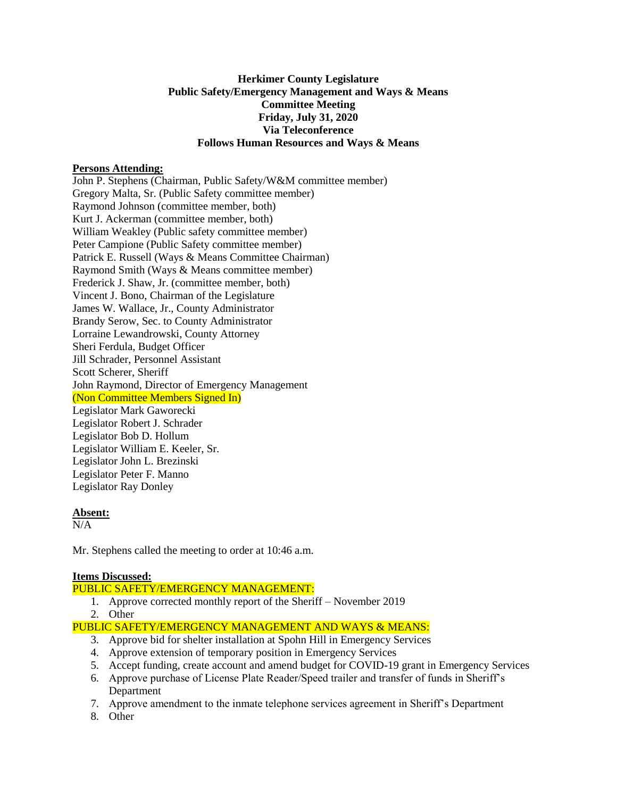# **Herkimer County Legislature Public Safety/Emergency Management and Ways & Means Committee Meeting Friday, July 31, 2020 Via Teleconference Follows Human Resources and Ways & Means**

## **Persons Attending:**

John P. Stephens (Chairman, Public Safety/W&M committee member) Gregory Malta, Sr. (Public Safety committee member) Raymond Johnson (committee member, both) Kurt J. Ackerman (committee member, both) William Weakley (Public safety committee member) Peter Campione (Public Safety committee member) Patrick E. Russell (Ways & Means Committee Chairman) Raymond Smith (Ways & Means committee member) Frederick J. Shaw, Jr. (committee member, both) Vincent J. Bono, Chairman of the Legislature James W. Wallace, Jr., County Administrator Brandy Serow, Sec. to County Administrator Lorraine Lewandrowski, County Attorney Sheri Ferdula, Budget Officer Jill Schrader, Personnel Assistant Scott Scherer, Sheriff John Raymond, Director of Emergency Management (Non Committee Members Signed In) Legislator Mark Gaworecki Legislator Robert J. Schrader Legislator Bob D. Hollum Legislator William E. Keeler, Sr. Legislator John L. Brezinski Legislator Peter F. Manno Legislator Ray Donley

#### **Absent:**

 $N/A$ 

Mr. Stephens called the meeting to order at 10:46 a.m.

#### **Items Discussed:**

PUBLIC SAFETY/EMERGENCY MANAGEMENT:

- 1. Approve corrected monthly report of the Sheriff November 2019
- 2. Other

PUBLIC SAFETY/EMERGENCY MANAGEMENT AND WAYS & MEANS:

- 3. Approve bid for shelter installation at Spohn Hill in Emergency Services
- 4. Approve extension of temporary position in Emergency Services
- 5. Accept funding, create account and amend budget for COVID-19 grant in Emergency Services
- 6. Approve purchase of License Plate Reader/Speed trailer and transfer of funds in Sheriff's Department
- 7. Approve amendment to the inmate telephone services agreement in Sheriff's Department
- 8. Other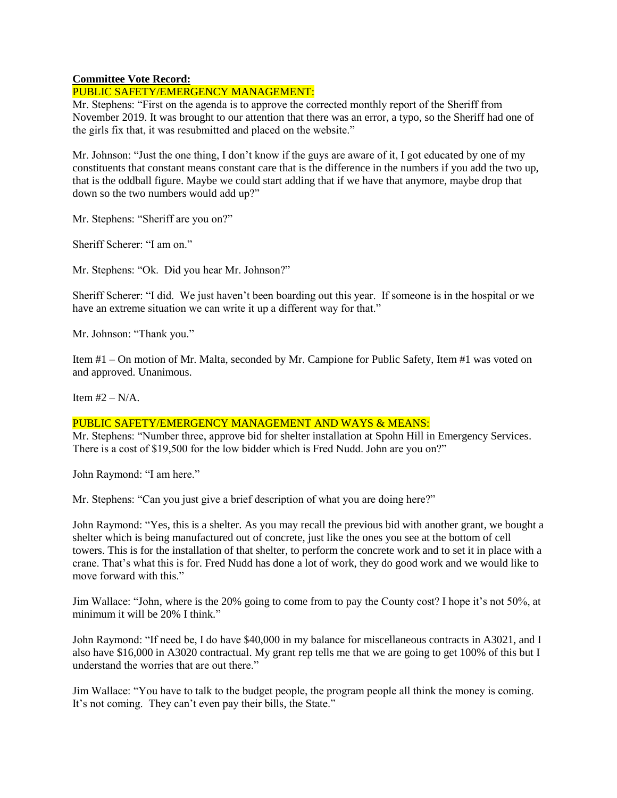# **Committee Vote Record:**

# PUBLIC SAFETY/EMERGENCY MANAGEMENT:

Mr. Stephens: "First on the agenda is to approve the corrected monthly report of the Sheriff from November 2019. It was brought to our attention that there was an error, a typo, so the Sheriff had one of the girls fix that, it was resubmitted and placed on the website."

Mr. Johnson: "Just the one thing, I don't know if the guys are aware of it, I got educated by one of my constituents that constant means constant care that is the difference in the numbers if you add the two up, that is the oddball figure. Maybe we could start adding that if we have that anymore, maybe drop that down so the two numbers would add up?"

Mr. Stephens: "Sheriff are you on?"

Sheriff Scherer: "I am on."

Mr. Stephens: "Ok. Did you hear Mr. Johnson?"

Sheriff Scherer: "I did. We just haven't been boarding out this year. If someone is in the hospital or we have an extreme situation we can write it up a different way for that."

Mr. Johnson: "Thank you."

Item #1 – On motion of Mr. Malta, seconded by Mr. Campione for Public Safety, Item #1 was voted on and approved. Unanimous.

Item  $#2 - N/A$ .

## PUBLIC SAFETY/EMERGENCY MANAGEMENT AND WAYS & MEANS:

Mr. Stephens: "Number three, approve bid for shelter installation at Spohn Hill in Emergency Services. There is a cost of \$19,500 for the low bidder which is Fred Nudd. John are you on?"

John Raymond: "I am here."

Mr. Stephens: "Can you just give a brief description of what you are doing here?"

John Raymond: "Yes, this is a shelter. As you may recall the previous bid with another grant, we bought a shelter which is being manufactured out of concrete, just like the ones you see at the bottom of cell towers. This is for the installation of that shelter, to perform the concrete work and to set it in place with a crane. That's what this is for. Fred Nudd has done a lot of work, they do good work and we would like to move forward with this."

Jim Wallace: "John, where is the 20% going to come from to pay the County cost? I hope it's not 50%, at minimum it will be 20% I think."

John Raymond: "If need be, I do have \$40,000 in my balance for miscellaneous contracts in A3021, and I also have \$16,000 in A3020 contractual. My grant rep tells me that we are going to get 100% of this but I understand the worries that are out there."

Jim Wallace: "You have to talk to the budget people, the program people all think the money is coming. It's not coming. They can't even pay their bills, the State."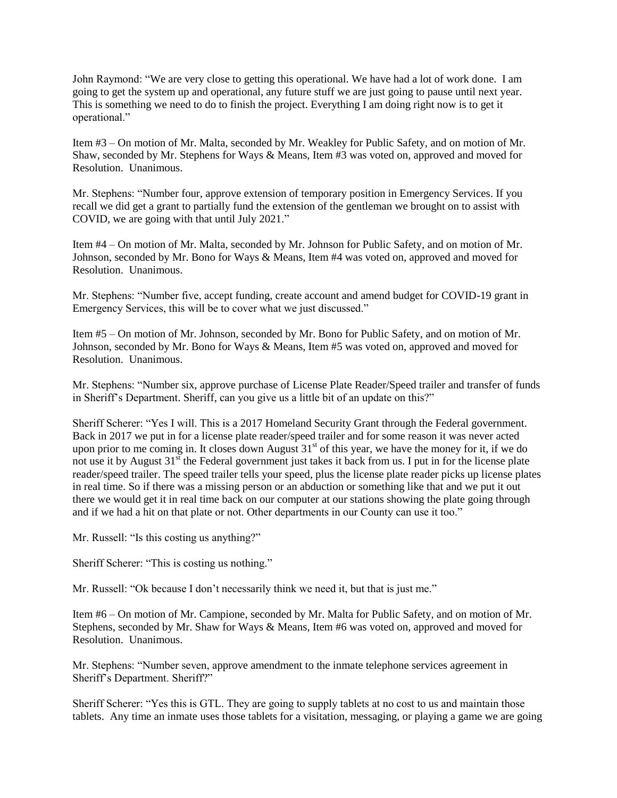John Raymond: "We are very close to getting this operational. We have had a lot of work done. I am going to get the system up and operational, any future stuff we are just going to pause until next year. This is something we need to do to finish the project. Everything I am doing right now is to get it operational."

Item #3 – On motion of Mr. Malta, seconded by Mr. Weakley for Public Safety, and on motion of Mr. Shaw, seconded by Mr. Stephens for Ways & Means, Item #3 was voted on, approved and moved for Resolution. Unanimous.

Mr. Stephens: "Number four, approve extension of temporary position in Emergency Services. If you recall we did get a grant to partially fund the extension of the gentleman we brought on to assist with COVID, we are going with that until July 2021."

Item #4 – On motion of Mr. Malta, seconded by Mr. Johnson for Public Safety, and on motion of Mr. Johnson, seconded by Mr. Bono for Ways & Means, Item #4 was voted on, approved and moved for Resolution. Unanimous.

Mr. Stephens: "Number five, accept funding, create account and amend budget for COVID-19 grant in Emergency Services, this will be to cover what we just discussed."

Item #5 – On motion of Mr. Johnson, seconded by Mr. Bono for Public Safety, and on motion of Mr. Johnson, seconded by Mr. Bono for Ways & Means, Item #5 was voted on, approved and moved for Resolution. Unanimous.

Mr. Stephens: "Number six, approve purchase of License Plate Reader/Speed trailer and transfer of funds in Sheriff's Department. Sheriff, can you give us a little bit of an update on this?"

Sheriff Scherer: "Yes I will. This is a 2017 Homeland Security Grant through the Federal government. Back in 2017 we put in for a license plate reader/speed trailer and for some reason it was never acted upon prior to me coming in. It closes down August  $31<sup>st</sup>$  of this year, we have the money for it, if we do not use it by August  $31<sup>st</sup>$  the Federal government just takes it back from us. I put in for the license plate reader/speed trailer. The speed trailer tells your speed, plus the license plate reader picks up license plates in real time. So if there was a missing person or an abduction or something like that and we put it out there we would get it in real time back on our computer at our stations showing the plate going through and if we had a hit on that plate or not. Other departments in our County can use it too."

Mr. Russell: "Is this costing us anything?"

Sheriff Scherer: "This is costing us nothing."

Mr. Russell: "Ok because I don't necessarily think we need it, but that is just me."

Item #6 – On motion of Mr. Campione, seconded by Mr. Malta for Public Safety, and on motion of Mr. Stephens, seconded by Mr. Shaw for Ways & Means, Item #6 was voted on, approved and moved for Resolution. Unanimous.

Mr. Stephens: "Number seven, approve amendment to the inmate telephone services agreement in Sheriff's Department. Sheriff?"

Sheriff Scherer: "Yes this is GTL. They are going to supply tablets at no cost to us and maintain those tablets. Any time an inmate uses those tablets for a visitation, messaging, or playing a game we are going